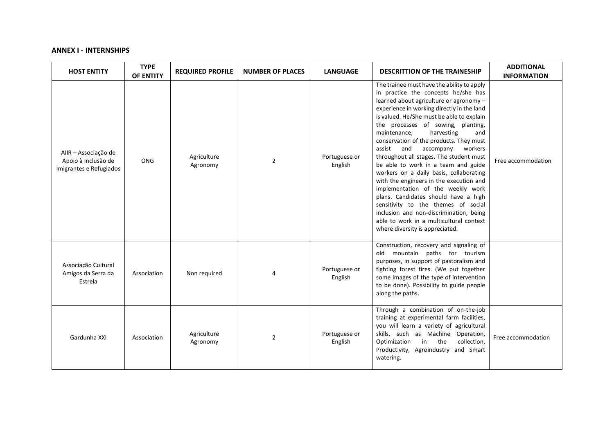## **ANNEX I - INTERNSHIPS**

| <b>HOST ENTITY</b>                                                     | <b>TYPE</b><br>OF ENTITY | <b>REQUIRED PROFILE</b> | <b>NUMBER OF PLACES</b> | <b>LANGUAGE</b>          | <b>DESCRITTION OF THE TRAINESHIP</b>                                                                                                                                                                                                                                                                                                                                                                                                                                                                                                                                                                                                                                                                                                                                                                        | <b>ADDITIONAL</b><br><b>INFORMATION</b> |
|------------------------------------------------------------------------|--------------------------|-------------------------|-------------------------|--------------------------|-------------------------------------------------------------------------------------------------------------------------------------------------------------------------------------------------------------------------------------------------------------------------------------------------------------------------------------------------------------------------------------------------------------------------------------------------------------------------------------------------------------------------------------------------------------------------------------------------------------------------------------------------------------------------------------------------------------------------------------------------------------------------------------------------------------|-----------------------------------------|
| AIIR - Associação de<br>Apoio à Inclusão de<br>Imigrantes e Refugiados | <b>ONG</b>               | Agriculture<br>Agronomy | $\overline{2}$          | Portuguese or<br>English | The trainee must have the ability to apply<br>in practice the concepts he/she has<br>learned about agriculture or agronomy -<br>experience in working directly in the land<br>is valued. He/She must be able to explain<br>the processes of sowing, planting,<br>maintenance,<br>harvesting<br>and<br>conservation of the products. They must<br>and<br>accompany<br>workers<br>assist<br>throughout all stages. The student must<br>be able to work in a team and guide<br>workers on a daily basis, collaborating<br>with the engineers in the execution and<br>implementation of the weekly work<br>plans. Candidates should have a high<br>sensitivity to the themes of social<br>inclusion and non-discrimination, being<br>able to work in a multicultural context<br>where diversity is appreciated. | Free accommodation                      |
| Associação Cultural<br>Amigos da Serra da<br>Estrela                   | Association              | Non required            | 4                       | Portuguese or<br>English | Construction, recovery and signaling of<br>old mountain paths for tourism<br>purposes, in support of pastoralism and<br>fighting forest fires. (We put together<br>some images of the type of intervention<br>to be done). Possibility to guide people<br>along the paths.                                                                                                                                                                                                                                                                                                                                                                                                                                                                                                                                  |                                         |
| Gardunha XXI                                                           | Association              | Agriculture<br>Agronomy | $\overline{2}$          | Portuguese or<br>English | Through a combination of on-the-job<br>training at experimental farm facilities,<br>you will learn a variety of agricultural<br>skills, such as Machine Operation,<br>collection,<br>Optimization<br>$\mathsf{in}$<br>the<br>Productivity, Agroindustry and Smart<br>watering.                                                                                                                                                                                                                                                                                                                                                                                                                                                                                                                              | Free accommodation                      |